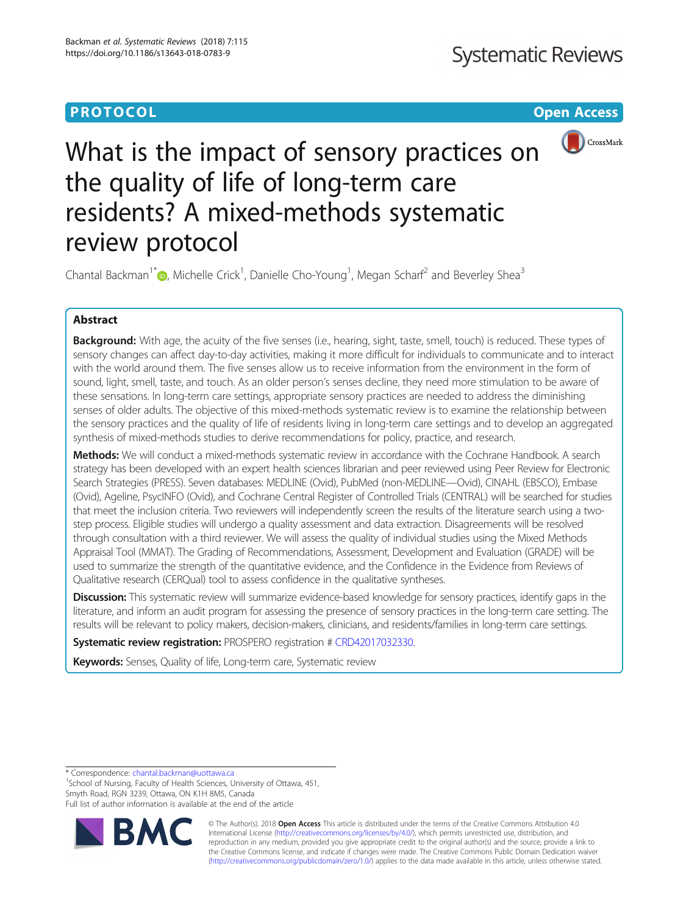# **PROTOCOL CONSUMING THE OPEN ACCESS**



# What is the impact of sensory practices on the quality of life of long-term care residents? A mixed-methods systematic review protocol

Chantal Backman<sup>1\*</sup>®[,](http://orcid.org/0000-0001-7431-8159) Michelle Crick<sup>1</sup>, Danielle Cho-Young<sup>1</sup>, Megan Scharf<sup>2</sup> and Beverley Shea<sup>3</sup>

# Abstract

Background: With age, the acuity of the five senses (i.e., hearing, sight, taste, smell, touch) is reduced. These types of sensory changes can affect day-to-day activities, making it more difficult for individuals to communicate and to interact with the world around them. The five senses allow us to receive information from the environment in the form of sound, light, smell, taste, and touch. As an older person's senses decline, they need more stimulation to be aware of these sensations. In long-term care settings, appropriate sensory practices are needed to address the diminishing senses of older adults. The objective of this mixed-methods systematic review is to examine the relationship between the sensory practices and the quality of life of residents living in long-term care settings and to develop an aggregated synthesis of mixed-methods studies to derive recommendations for policy, practice, and research.

Methods: We will conduct a mixed-methods systematic review in accordance with the Cochrane Handbook. A search strategy has been developed with an expert health sciences librarian and peer reviewed using Peer Review for Electronic Search Strategies (PRESS). Seven databases: MEDLINE (Ovid), PubMed (non-MEDLINE—Ovid), CINAHL (EBSCO), Embase (Ovid), Ageline, PsycINFO (Ovid), and Cochrane Central Register of Controlled Trials (CENTRAL) will be searched for studies that meet the inclusion criteria. Two reviewers will independently screen the results of the literature search using a twostep process. Eligible studies will undergo a quality assessment and data extraction. Disagreements will be resolved through consultation with a third reviewer. We will assess the quality of individual studies using the Mixed Methods Appraisal Tool (MMAT). The Grading of Recommendations, Assessment, Development and Evaluation (GRADE) will be used to summarize the strength of the quantitative evidence, and the Confidence in the Evidence from Reviews of Qualitative research (CERQual) tool to assess confidence in the qualitative syntheses.

Discussion: This systematic review will summarize evidence-based knowledge for sensory practices, identify gaps in the literature, and inform an audit program for assessing the presence of sensory practices in the long-term care setting. The results will be relevant to policy makers, decision-makers, clinicians, and residents/families in long-term care settings.

Systematic review registration: PROSPERO registration # [CRD42017032330](https://www.crd.york.ac.uk/prospero/display_record.php?RecordID=32330).

Keywords: Senses, Quality of life, Long-term care, Systematic review

\* Correspondence: [chantal.backman@uottawa.ca](mailto:chantal.backman@uottawa.ca) <sup>1</sup>

<sup>1</sup>School of Nursing, Faculty of Health Sciences, University of Ottawa, 451, Smyth Road, RGN 3239, Ottawa, ON K1H 8M5, Canada

Full list of author information is available at the end of the article



© The Author(s). 2018 Open Access This article is distributed under the terms of the Creative Commons Attribution 4.0 International License [\(http://creativecommons.org/licenses/by/4.0/](http://creativecommons.org/licenses/by/4.0/)), which permits unrestricted use, distribution, and reproduction in any medium, provided you give appropriate credit to the original author(s) and the source, provide a link to the Creative Commons license, and indicate if changes were made. The Creative Commons Public Domain Dedication waiver [\(http://creativecommons.org/publicdomain/zero/1.0/](http://creativecommons.org/publicdomain/zero/1.0/)) applies to the data made available in this article, unless otherwise stated.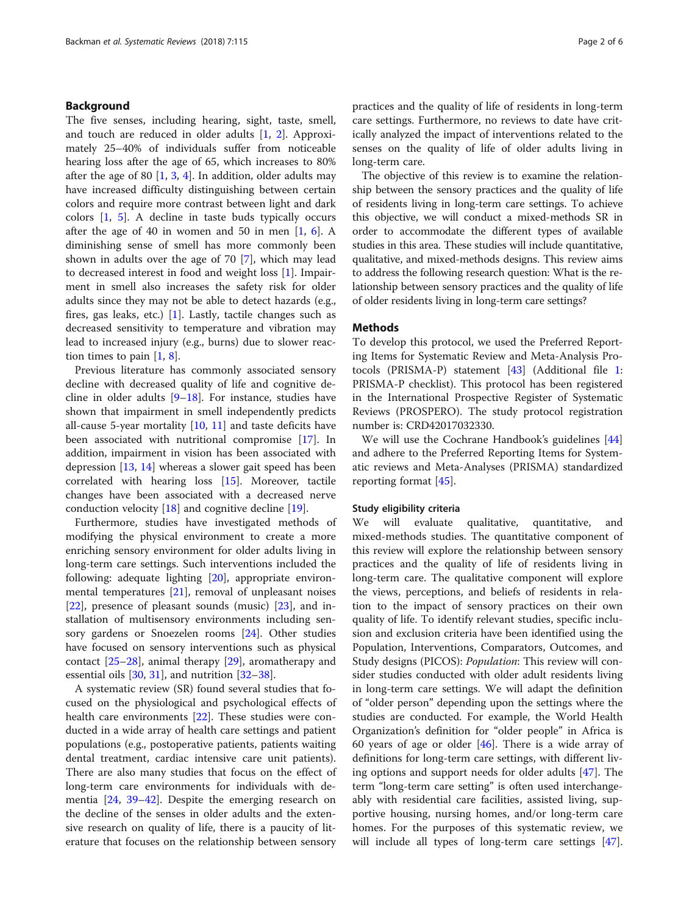# Background

The five senses, including hearing, sight, taste, smell, and touch are reduced in older adults [\[1](#page-4-0), [2\]](#page-4-0). Approximately 25–40% of individuals suffer from noticeable hearing loss after the age of 65, which increases to 80% after the age of 80  $\left[1, 3, 4\right]$  $\left[1, 3, 4\right]$  $\left[1, 3, 4\right]$  $\left[1, 3, 4\right]$  $\left[1, 3, 4\right]$ . In addition, older adults may have increased difficulty distinguishing between certain colors and require more contrast between light and dark colors [[1,](#page-4-0) [5\]](#page-4-0). A decline in taste buds typically occurs after the age of 40 in women and 50 in men  $[1, 6]$  $[1, 6]$  $[1, 6]$  $[1, 6]$  $[1, 6]$ . A diminishing sense of smell has more commonly been shown in adults over the age of 70 [[7\]](#page-4-0), which may lead to decreased interest in food and weight loss [[1](#page-4-0)]. Impairment in smell also increases the safety risk for older adults since they may not be able to detect hazards (e.g., fires, gas leaks, etc.) [[1\]](#page-4-0). Lastly, tactile changes such as decreased sensitivity to temperature and vibration may lead to increased injury (e.g., burns) due to slower reaction times to pain [[1,](#page-4-0) [8\]](#page-4-0).

Previous literature has commonly associated sensory decline with decreased quality of life and cognitive decline in older adults  $[9-18]$  $[9-18]$  $[9-18]$  $[9-18]$ . For instance, studies have shown that impairment in smell independently predicts all-cause 5-year mortality [[10](#page-5-0), [11\]](#page-5-0) and taste deficits have been associated with nutritional compromise [[17\]](#page-5-0). In addition, impairment in vision has been associated with depression [\[13](#page-5-0), [14](#page-5-0)] whereas a slower gait speed has been correlated with hearing loss [\[15](#page-5-0)]. Moreover, tactile changes have been associated with a decreased nerve conduction velocity [[18\]](#page-5-0) and cognitive decline [[19\]](#page-5-0).

Furthermore, studies have investigated methods of modifying the physical environment to create a more enriching sensory environment for older adults living in long-term care settings. Such interventions included the following: adequate lighting [\[20\]](#page-5-0), appropriate environmental temperatures [[21](#page-5-0)], removal of unpleasant noises  $[22]$  $[22]$ , presence of pleasant sounds (music)  $[23]$  $[23]$ , and installation of multisensory environments including sensory gardens or Snoezelen rooms [[24\]](#page-5-0). Other studies have focused on sensory interventions such as physical contact [[25](#page-5-0)–[28](#page-5-0)], animal therapy [[29\]](#page-5-0), aromatherapy and essential oils [\[30](#page-5-0), [31\]](#page-5-0), and nutrition [[32](#page-5-0)–[38](#page-5-0)].

A systematic review (SR) found several studies that focused on the physiological and psychological effects of health care environments [[22](#page-5-0)]. These studies were conducted in a wide array of health care settings and patient populations (e.g., postoperative patients, patients waiting dental treatment, cardiac intensive care unit patients). There are also many studies that focus on the effect of long-term care environments for individuals with dementia [[24,](#page-5-0) [39](#page-5-0)–[42](#page-5-0)]. Despite the emerging research on the decline of the senses in older adults and the extensive research on quality of life, there is a paucity of literature that focuses on the relationship between sensory

practices and the quality of life of residents in long-term care settings. Furthermore, no reviews to date have critically analyzed the impact of interventions related to the senses on the quality of life of older adults living in long-term care.

The objective of this review is to examine the relationship between the sensory practices and the quality of life of residents living in long-term care settings. To achieve this objective, we will conduct a mixed-methods SR in order to accommodate the different types of available studies in this area. These studies will include quantitative, qualitative, and mixed-methods designs. This review aims to address the following research question: What is the relationship between sensory practices and the quality of life of older residents living in long-term care settings?

# Methods

To develop this protocol, we used the Preferred Reporting Items for Systematic Review and Meta-Analysis Protocols (PRISMA-P) statement [[43\]](#page-5-0) (Additional file [1](#page-4-0): PRISMA-P checklist). This protocol has been registered in the International Prospective Register of Systematic Reviews (PROSPERO). The study protocol registration number is: CRD42017032330.

We will use the Cochrane Handbook's guidelines [[44](#page-5-0)] and adhere to the Preferred Reporting Items for Systematic reviews and Meta-Analyses (PRISMA) standardized reporting format [\[45](#page-5-0)].

# Study eligibility criteria

We will evaluate qualitative, quantitative, and mixed-methods studies. The quantitative component of this review will explore the relationship between sensory practices and the quality of life of residents living in long-term care. The qualitative component will explore the views, perceptions, and beliefs of residents in relation to the impact of sensory practices on their own quality of life. To identify relevant studies, specific inclusion and exclusion criteria have been identified using the Population, Interventions, Comparators, Outcomes, and Study designs (PICOS): Population: This review will consider studies conducted with older adult residents living in long-term care settings. We will adapt the definition of "older person" depending upon the settings where the studies are conducted. For example, the World Health Organization's definition for "older people" in Africa is 60 years of age or older  $[46]$  $[46]$ . There is a wide array of definitions for long-term care settings, with different living options and support needs for older adults [[47\]](#page-5-0). The term "long-term care setting" is often used interchangeably with residential care facilities, assisted living, supportive housing, nursing homes, and/or long-term care homes. For the purposes of this systematic review, we will include all types of long-term care settings [\[47](#page-5-0)].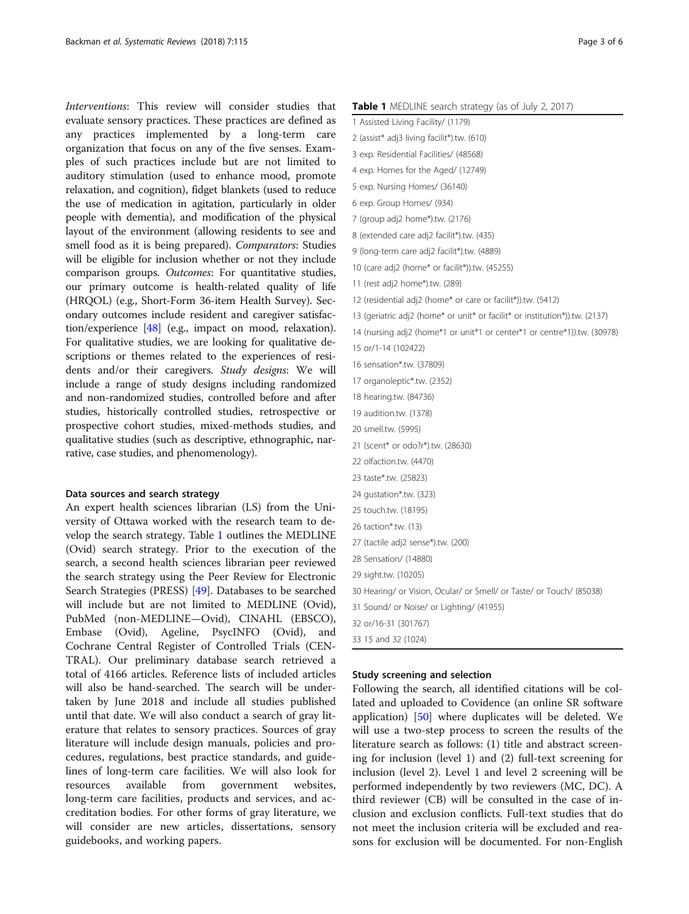Interventions: This review will consider studies that evaluate sensory practices. These practices are defined as any practices implemented by a long-term care organization that focus on any of the five senses. Examples of such practices include but are not limited to auditory stimulation (used to enhance mood, promote relaxation, and cognition), fidget blankets (used to reduce the use of medication in agitation, particularly in older people with dementia), and modification of the physical layout of the environment (allowing residents to see and smell food as it is being prepared). Comparators: Studies will be eligible for inclusion whether or not they include comparison groups. Outcomes: For quantitative studies, our primary outcome is health-related quality of life (HRQOL) (e.g., Short-Form 36-item Health Survey). Secondary outcomes include resident and caregiver satisfaction/experience [[48\]](#page-5-0) (e.g., impact on mood, relaxation). For qualitative studies, we are looking for qualitative descriptions or themes related to the experiences of residents and/or their caregivers. Study designs: We will include a range of study designs including randomized and non-randomized studies, controlled before and after studies, historically controlled studies, retrospective or prospective cohort studies, mixed-methods studies, and qualitative studies (such as descriptive, ethnographic, narrative, case studies, and phenomenology).

# Data sources and search strategy

An expert health sciences librarian (LS) from the University of Ottawa worked with the research team to develop the search strategy. Table 1 outlines the MEDLINE (Ovid) search strategy. Prior to the execution of the search, a second health sciences librarian peer reviewed the search strategy using the Peer Review for Electronic Search Strategies (PRESS) [\[49\]](#page-5-0). Databases to be searched will include but are not limited to MEDLINE (Ovid), PubMed (non-MEDLINE—Ovid), CINAHL (EBSCO), Embase (Ovid), Ageline, PsycINFO (Ovid), and Cochrane Central Register of Controlled Trials (CEN-TRAL). Our preliminary database search retrieved a total of 4166 articles. Reference lists of included articles will also be hand-searched. The search will be undertaken by June 2018 and include all studies published until that date. We will also conduct a search of gray literature that relates to sensory practices. Sources of gray literature will include design manuals, policies and procedures, regulations, best practice standards, and guidelines of long-term care facilities. We will also look for resources available from government websites, long-term care facilities, products and services, and accreditation bodies. For other forms of gray literature, we will consider are new articles, dissertations, sensory guidebooks, and working papers.

# Table 1 MEDLINE search strategy (as of July 2, 2017)

- 1 Assisted Living Facility/ (1179)
- 2 (assist\* adj3 living facilit\*).tw. (610)
- 3 exp. Residential Facilities/ (48568)
- 4 exp. Homes for the Aged/ (12749)
- 5 exp. Nursing Homes/ (36140)
- 6 exp. Group Homes/ (934)
- 7 (group adj2 home\*).tw. (2176)
- 8 (extended care adj2 facilit\*).tw. (435)
- 9 (long-term care adj2 facilit\*).tw. (4889)
- 10 (care adj2 (home\* or facilit\*)).tw. (45255)
- 11 (rest adj2 home\*).tw. (289)
- 12 (residential adj2 (home\* or care or facilit\*)).tw. (5412)
- 13 (geriatric adj2 (home\* or unit\* or facilit\* or institution\*)).tw. (2137)
- 14 (nursing adj2 (home\*1 or unit\*1 or center\*1 or centre\*1)).tw. (30978)
- 15 or/1-14 (102422)
- 16 sensation\*.tw. (37809)
- 17 organoleptic\*.tw. (2352)
- 18 hearing.tw. (84736)
- 19 audition.tw. (1378)
- 20 smell.tw. (5995)
- 21 (scent\* or odo?r\*).tw. (28630)
- 22 olfaction.tw. (4470)
- 23 taste\*.tw. (25823)
- 24 gustation\*.tw. (323)
- 25 touch.tw. (18195)
- 26 taction\*.tw. (13)
- 27 (tactile adj2 sense\*).tw. (200)
- 28 Sensation/ (14880)
- 29 sight.tw. (10205)
- 30 Hearing/ or Vision, Ocular/ or Smell/ or Taste/ or Touch/ (85038)
- 31 Sound/ or Noise/ or Lighting/ (41955)
- 32 or/16-31 (301767)
- 33 15 and 32 (1024)

# Study screening and selection

Following the search, all identified citations will be collated and uploaded to Covidence (an online SR software application) [[50\]](#page-5-0) where duplicates will be deleted. We will use a two-step process to screen the results of the literature search as follows: (1) title and abstract screening for inclusion (level 1) and (2) full-text screening for inclusion (level 2). Level 1 and level 2 screening will be performed independently by two reviewers (MC, DC). A third reviewer (CB) will be consulted in the case of inclusion and exclusion conflicts. Full-text studies that do not meet the inclusion criteria will be excluded and reasons for exclusion will be documented. For non-English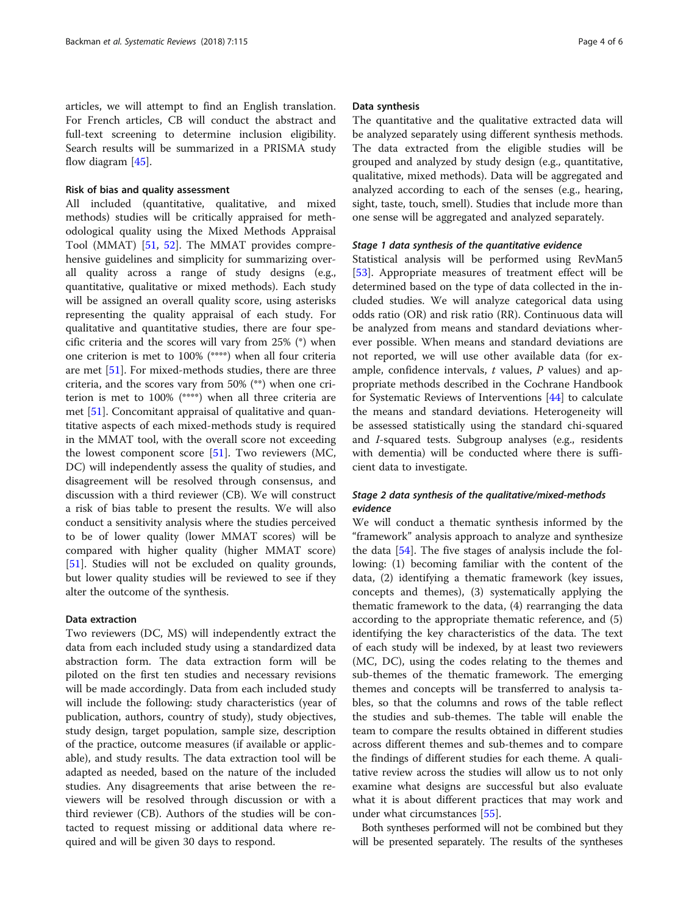articles, we will attempt to find an English translation. For French articles, CB will conduct the abstract and full-text screening to determine inclusion eligibility. Search results will be summarized in a PRISMA study flow diagram [\[45](#page-5-0)].

# Risk of bias and quality assessment

All included (quantitative, qualitative, and mixed methods) studies will be critically appraised for methodological quality using the Mixed Methods Appraisal Tool (MMAT) [[51](#page-5-0), [52\]](#page-5-0). The MMAT provides comprehensive guidelines and simplicity for summarizing overall quality across a range of study designs (e.g., quantitative, qualitative or mixed methods). Each study will be assigned an overall quality score, using asterisks representing the quality appraisal of each study. For qualitative and quantitative studies, there are four specific criteria and the scores will vary from 25% (\*) when one criterion is met to 100% (\*\*\*\*) when all four criteria are met [\[51](#page-5-0)]. For mixed-methods studies, there are three criteria, and the scores vary from 50% (\*\*) when one criterion is met to 100% (\*\*\*\*) when all three criteria are met [[51](#page-5-0)]. Concomitant appraisal of qualitative and quantitative aspects of each mixed-methods study is required in the MMAT tool, with the overall score not exceeding the lowest component score [\[51\]](#page-5-0). Two reviewers (MC, DC) will independently assess the quality of studies, and disagreement will be resolved through consensus, and discussion with a third reviewer (CB). We will construct a risk of bias table to present the results. We will also conduct a sensitivity analysis where the studies perceived to be of lower quality (lower MMAT scores) will be compared with higher quality (higher MMAT score) [[51\]](#page-5-0). Studies will not be excluded on quality grounds, but lower quality studies will be reviewed to see if they alter the outcome of the synthesis.

# Data extraction

Two reviewers (DC, MS) will independently extract the data from each included study using a standardized data abstraction form. The data extraction form will be piloted on the first ten studies and necessary revisions will be made accordingly. Data from each included study will include the following: study characteristics (year of publication, authors, country of study), study objectives, study design, target population, sample size, description of the practice, outcome measures (if available or applicable), and study results. The data extraction tool will be adapted as needed, based on the nature of the included studies. Any disagreements that arise between the reviewers will be resolved through discussion or with a third reviewer (CB). Authors of the studies will be contacted to request missing or additional data where required and will be given 30 days to respond.

# Data synthesis

The quantitative and the qualitative extracted data will be analyzed separately using different synthesis methods. The data extracted from the eligible studies will be grouped and analyzed by study design (e.g., quantitative, qualitative, mixed methods). Data will be aggregated and analyzed according to each of the senses (e.g., hearing, sight, taste, touch, smell). Studies that include more than one sense will be aggregated and analyzed separately.

#### Stage 1 data synthesis of the quantitative evidence

Statistical analysis will be performed using RevMan5 [[53\]](#page-5-0). Appropriate measures of treatment effect will be determined based on the type of data collected in the included studies. We will analyze categorical data using odds ratio (OR) and risk ratio (RR). Continuous data will be analyzed from means and standard deviations wherever possible. When means and standard deviations are not reported, we will use other available data (for example, confidence intervals,  $t$  values,  $P$  values) and appropriate methods described in the Cochrane Handbook for Systematic Reviews of Interventions [\[44\]](#page-5-0) to calculate the means and standard deviations. Heterogeneity will be assessed statistically using the standard chi-squared and I-squared tests. Subgroup analyses (e.g., residents with dementia) will be conducted where there is sufficient data to investigate.

# Stage 2 data synthesis of the qualitative/mixed-methods evidence

We will conduct a thematic synthesis informed by the "framework" analysis approach to analyze and synthesize the data [[54\]](#page-5-0). The five stages of analysis include the following: (1) becoming familiar with the content of the data, (2) identifying a thematic framework (key issues, concepts and themes), (3) systematically applying the thematic framework to the data, (4) rearranging the data according to the appropriate thematic reference, and (5) identifying the key characteristics of the data. The text of each study will be indexed, by at least two reviewers (MC, DC), using the codes relating to the themes and sub-themes of the thematic framework. The emerging themes and concepts will be transferred to analysis tables, so that the columns and rows of the table reflect the studies and sub-themes. The table will enable the team to compare the results obtained in different studies across different themes and sub-themes and to compare the findings of different studies for each theme. A qualitative review across the studies will allow us to not only examine what designs are successful but also evaluate what it is about different practices that may work and under what circumstances [\[55](#page-5-0)].

Both syntheses performed will not be combined but they will be presented separately. The results of the syntheses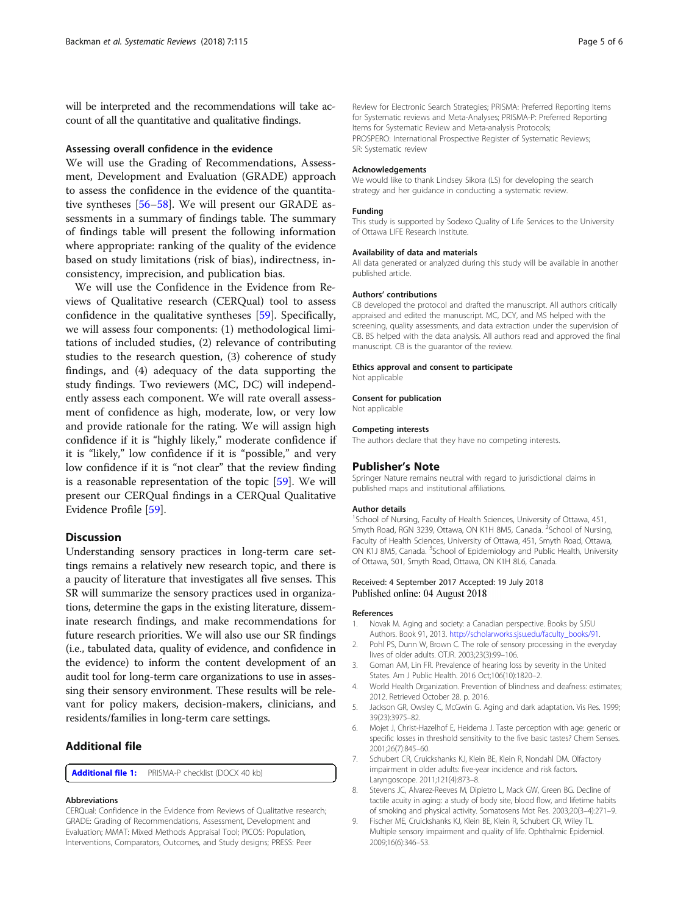<span id="page-4-0"></span>will be interpreted and the recommendations will take account of all the quantitative and qualitative findings.

#### Assessing overall confidence in the evidence

We will use the Grading of Recommendations, Assessment, Development and Evaluation (GRADE) approach to assess the confidence in the evidence of the quantitative syntheses [\[56](#page-5-0)–[58\]](#page-5-0). We will present our GRADE assessments in a summary of findings table. The summary of findings table will present the following information where appropriate: ranking of the quality of the evidence based on study limitations (risk of bias), indirectness, inconsistency, imprecision, and publication bias.

We will use the Confidence in the Evidence from Reviews of Qualitative research (CERQual) tool to assess confidence in the qualitative syntheses [\[59\]](#page-5-0). Specifically, we will assess four components: (1) methodological limitations of included studies, (2) relevance of contributing studies to the research question, (3) coherence of study findings, and (4) adequacy of the data supporting the study findings. Two reviewers (MC, DC) will independently assess each component. We will rate overall assessment of confidence as high, moderate, low, or very low and provide rationale for the rating. We will assign high confidence if it is "highly likely," moderate confidence if it is "likely," low confidence if it is "possible," and very low confidence if it is "not clear" that the review finding is a reasonable representation of the topic [\[59](#page-5-0)]. We will present our CERQual findings in a CERQual Qualitative Evidence Profile [[59](#page-5-0)].

# **Discussion**

Understanding sensory practices in long-term care settings remains a relatively new research topic, and there is a paucity of literature that investigates all five senses. This SR will summarize the sensory practices used in organizations, determine the gaps in the existing literature, disseminate research findings, and make recommendations for future research priorities. We will also use our SR findings (i.e., tabulated data, quality of evidence, and confidence in the evidence) to inform the content development of an audit tool for long-term care organizations to use in assessing their sensory environment. These results will be relevant for policy makers, decision-makers, clinicians, and residents/families in long-term care settings.

# Additional file

[Additional file 1:](https://doi.org/10.1186/s13643-018-0783-9) PRISMA-P checklist (DOCX 40 kb)

#### Abbreviations

CERQual: Confidence in the Evidence from Reviews of Qualitative research; GRADE: Grading of Recommendations, Assessment, Development and Evaluation; MMAT: Mixed Methods Appraisal Tool; PICOS: Population, Interventions, Comparators, Outcomes, and Study designs; PRESS: Peer

Review for Electronic Search Strategies; PRISMA: Preferred Reporting Items for Systematic reviews and Meta-Analyses; PRISMA-P: Preferred Reporting Items for Systematic Review and Meta-analysis Protocols; PROSPERO: International Prospective Register of Systematic Reviews; SR: Systematic review

#### Acknowledgements

We would like to thank Lindsey Sikora (LS) for developing the search strategy and her guidance in conducting a systematic review.

#### Funding

This study is supported by Sodexo Quality of Life Services to the University of Ottawa LIFE Research Institute.

#### Availability of data and materials

All data generated or analyzed during this study will be available in another published article.

#### Authors' contributions

CB developed the protocol and drafted the manuscript. All authors critically appraised and edited the manuscript. MC, DCY, and MS helped with the screening, quality assessments, and data extraction under the supervision of CB. BS helped with the data analysis. All authors read and approved the final manuscript. CB is the guarantor of the review.

# Ethics approval and consent to participate

Not applicable

#### Consent for publication

Not applicable

#### Competing interests

The authors declare that they have no competing interests.

#### Publisher's Note

Springer Nature remains neutral with regard to jurisdictional claims in published maps and institutional affiliations.

#### Author details

<sup>1</sup>School of Nursing, Faculty of Health Sciences, University of Ottawa, 451, Smyth Road, RGN 3239, Ottawa, ON K1H 8M5, Canada. <sup>2</sup>School of Nursing Faculty of Health Sciences, University of Ottawa, 451, Smyth Road, Ottawa, ON K1J 8M5, Canada. <sup>3</sup>School of Epidemiology and Public Health, University of Ottawa, 501, Smyth Road, Ottawa, ON K1H 8L6, Canada.

# Received: 4 September 2017 Accepted: 19 July 2018 Published online: 04 August 2018

#### References

- 1. Novak M. Aging and society: a Canadian perspective. Books by SJSU Authors. Book 91, 2013. [http://scholarworks.sjsu.edu/faculty\\_books/91.](http://scholarworks.sjsu.edu/faculty_books/91)
- 2. Pohl PS, Dunn W, Brown C. The role of sensory processing in the everyday lives of older adults. OTJR. 2003;23(3):99–106.
- 3. Goman AM, Lin FR. Prevalence of hearing loss by severity in the United States. Am J Public Health. 2016 Oct;106(10):1820–2.
- 4. World Health Organization. Prevention of blindness and deafness: estimates; 2012. Retrieved October 28. p. 2016.
- 5. Jackson GR, Owsley C, McGwin G. Aging and dark adaptation. Vis Res. 1999; 39(23):3975–82.
- 6. Mojet J, Christ-Hazelhof E, Heidema J. Taste perception with age: generic or specific losses in threshold sensitivity to the five basic tastes? Chem Senses. 2001;26(7):845–60.
- 7. Schubert CR, Cruickshanks KJ, Klein BE, Klein R, Nondahl DM. Olfactory impairment in older adults: five-year incidence and risk factors. Laryngoscope. 2011;121(4):873–8.
- 8. Stevens JC, Alvarez-Reeves M, Dipietro L, Mack GW, Green BG. Decline of tactile acuity in aging: a study of body site, blood flow, and lifetime habits of smoking and physical activity. Somatosens Mot Res. 2003;20(3–4):271–9.
- 9. Fischer ME, Cruickshanks KJ, Klein BE, Klein R, Schubert CR, Wiley TL. Multiple sensory impairment and quality of life. Ophthalmic Epidemiol. 2009;16(6):346–53.